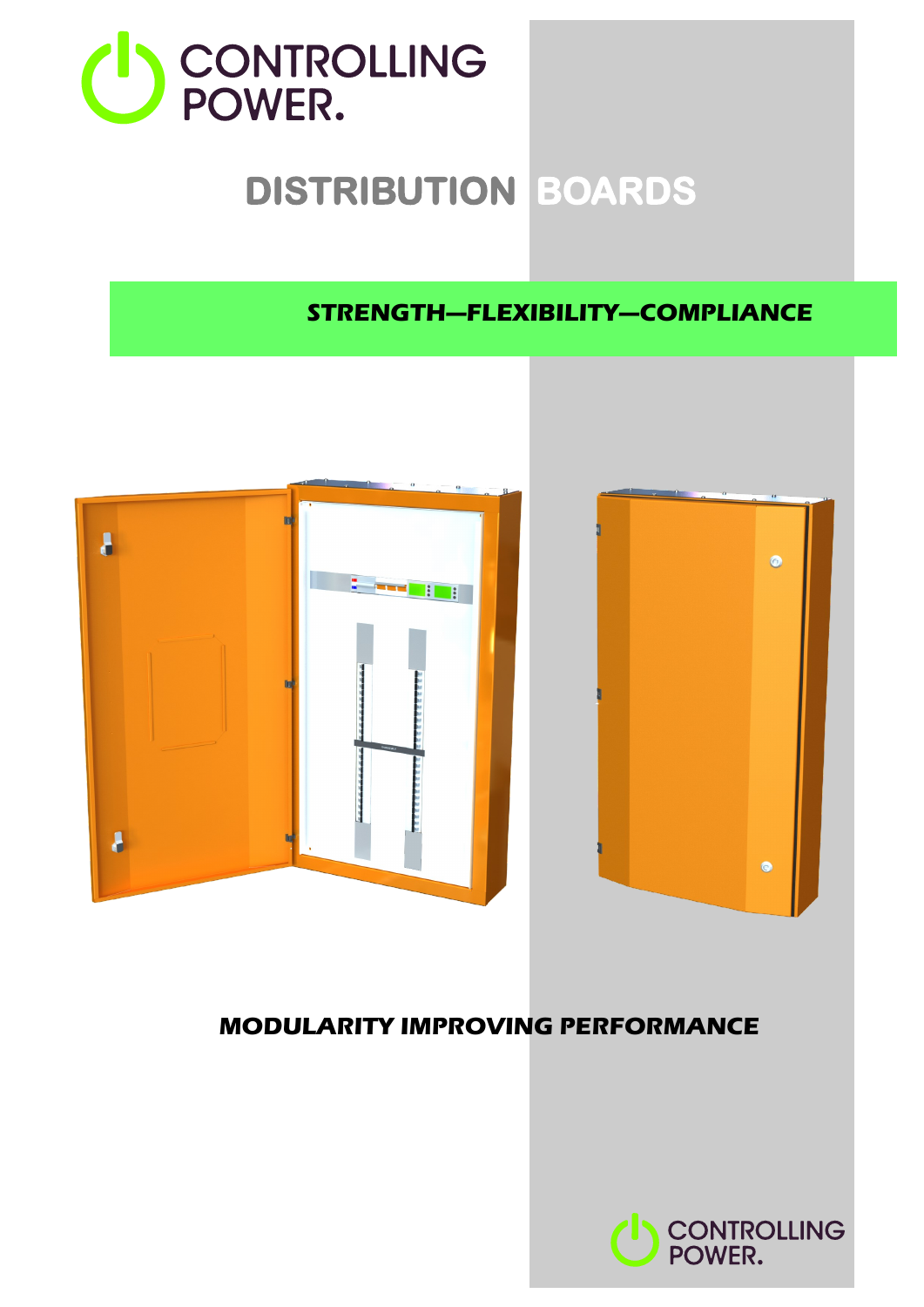

# **DISTRIBUTION BOARDS**

### **STRENGTH—FLEXIBILITY—COMPLIANCE**



# **MODULARITY IMPROVING PERFORMANCE**

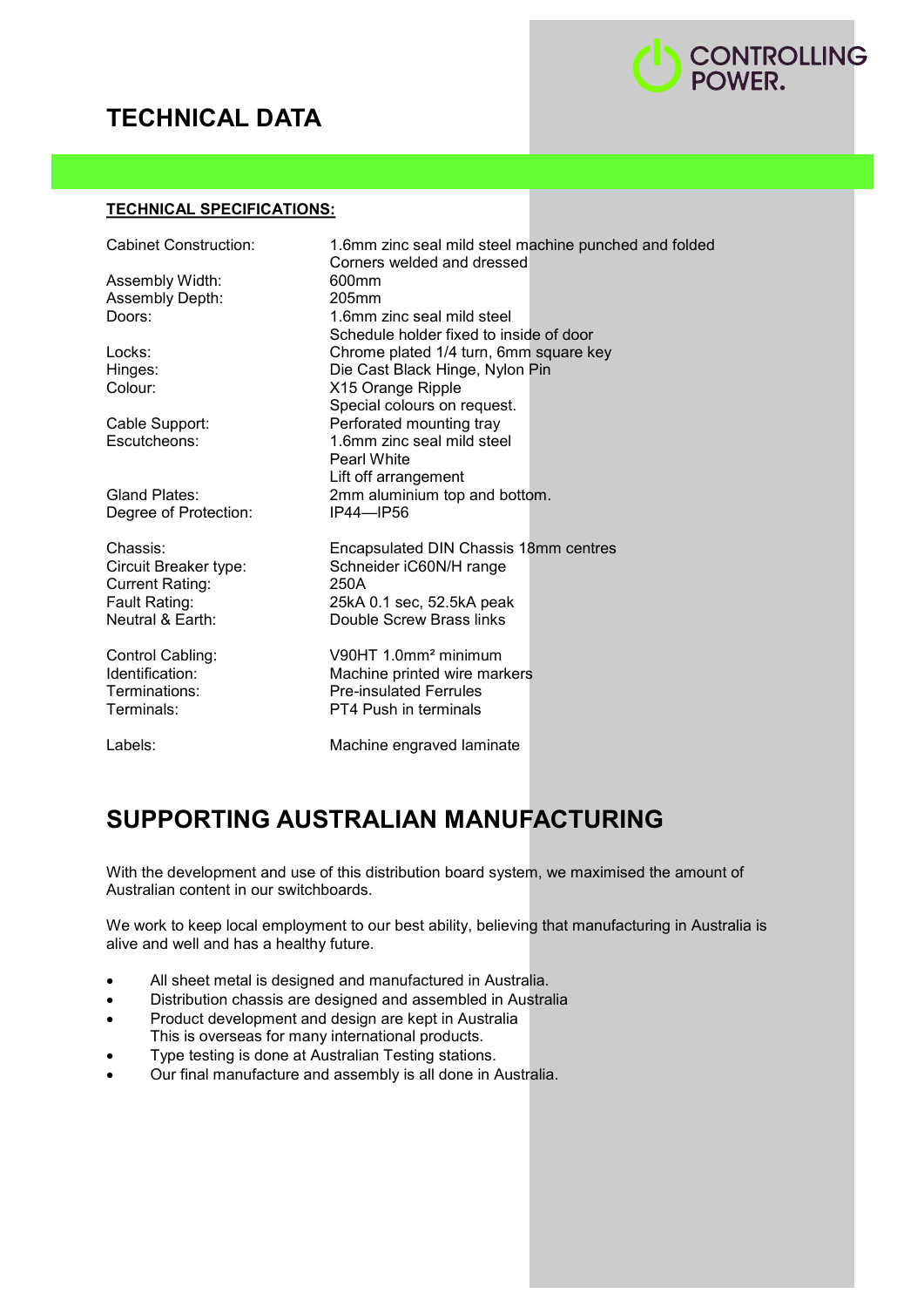# **TECHNICAL DATA**



#### **TECHNICAL SPECIFICATIONS:**

| Cabinet Construction:          | 1.6mm zinc seal mild steel machine punched and folded                                                                         |
|--------------------------------|-------------------------------------------------------------------------------------------------------------------------------|
| Assembly Width:                | Corners welded and dressed                                                                                                    |
| Assembly Depth:                | 600mm                                                                                                                         |
| Doors:                         | 205mm                                                                                                                         |
|                                | 1.6mm zinc seal mild steel<br>Schedule holder fixed to inside of door                                                         |
| Locks:<br>Hinges:<br>Colour:   | Chrome plated 1/4 turn, 6mm square key<br>Die Cast Black Hinge, Nylon Pin<br>X15 Orange Ripple<br>Special colours on request. |
| Cable Support:<br>Escutcheons: | Perforated mounting tray<br>1.6mm zinc seal mild steel<br><b>Pearl White</b><br>Lift off arrangement                          |
| Gland Plates:                  | 2mm aluminium top and bottom.                                                                                                 |
| Degree of Protection:          | IP44-IP56                                                                                                                     |
| Chassis:                       | Encapsulated DIN Chassis 18mm centres                                                                                         |
| Circuit Breaker type:          | Schneider iC60N/H range                                                                                                       |
| <b>Current Rating:</b>         | 250A                                                                                                                          |
| Fault Rating:                  | 25kA 0.1 sec, 52.5kA peak                                                                                                     |
| Neutral & Earth:               | Double Screw Brass links                                                                                                      |
| Control Cabling:               | V90HT 1.0mm <sup>2</sup> minimum                                                                                              |
| Identification:                | Machine printed wire markers                                                                                                  |
| Terminations:                  | <b>Pre-insulated Ferrules</b>                                                                                                 |
| Terminals:                     | <b>PT4 Push in terminals</b>                                                                                                  |
| Labels:                        | Machine engraved laminate                                                                                                     |

## **SUPPORTING AUSTRALIAN MANUFACTURING**

With the development and use of this distribution board system, we maximised the amount of Australian content in our switchboards.

We work to keep local employment to our best ability, believing that manufacturing in Australia is alive and well and has a healthy future.

- All sheet metal is designed and manufactured in Australia.
- Distribution chassis are designed and assembled in Australia
- Product development and design are kept in Australia This is overseas for many international products.
- Type testing is done at Australian Testing stations.
- Our final manufacture and assembly is all done in Australia.